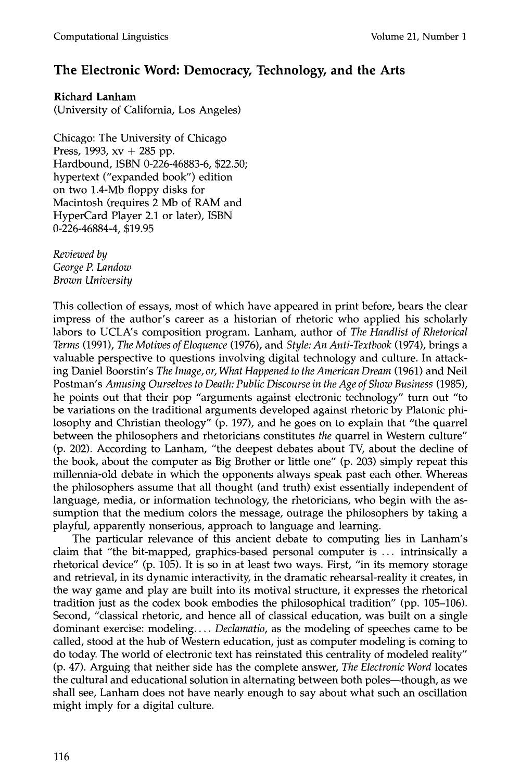## **The Electronic Word: Democracy, Technology, and the Arts**

**Richard Lanham** 

(University of California, Los Angeles)

Chicago: The University of Chicago Press, 1993,  $xy + 285$  pp. Hardbound, ISBN 0-226-46883-6, \$22.50; hypertext ("expanded book") edition on two 1.4-Mb floppy disks for Macintosh (requires 2 Mb of RAM and HyperCard Player 2.1 or later), ISBN 0-226-46884-4, \$19.95

*Reviewed by George P. Landow Brown University* 

This collection of essays, most of which have appeared in print before, bears the clear impress of the author's career as a historian of rhetoric who applied his scholarly labors to UCLA's composition program. Lanham, author of *The Handlist of Rhetorical Terms* (1991), *The Motives of Eloquence* (1976), and *Style: An Anti-Textbook* (1974), brings a valuable perspective to questions involving digital technology and culture. In attacking Daniel Boorstin's *The Image, or, What Happened to the American Dream* (1961) and Neil Postman's *Amusing Ourselves to Death: Public Discourse in the Age of Show Business* (1985), he points out that their pop "arguments against electronic technology" turn out "to be variations on the traditional arguments developed against rhetoric by Platonic philosophy and Christian theology" (p. 197), and he goes on to explain that "the quarrel between the philosophers and rhetoricians constitutes *the* quarrel in Western culture" (p. 202). According to Lanham, "the deepest debates about TV, about the decline of the book, about the computer as Big Brother or little one" (p. 203) simply repeat this millennia-old debate in which the opponents always speak past each other. Whereas the philosophers assume that all thought (and truth) exist essentially independent of language, media, or information technology, the rhetoricians, who begin with the assumption that the medium colors the message, outrage the philosophers by taking a playful, apparently nonserious, approach to language and learning.

The particular relevance of this ancient debate to computing lies in Lanham's claim that "the bit-mapped, graphics-based personal computer is ... intrinsically a rhetorical device" (p. 105). It is so in at least two ways. First, "in its memory storage and retrieval, in its dynamic interactivity, in the dramatic rehearsal-reality it creates, in the way game and play are built into its motival structure, it expresses the rhetorical tradition just as the codex book embodies the philosophical tradition" (pp. 105-106). Second, "classical rhetoric, and hence all of classical education, was built on a single dominant exercise: modeling .... *Declamatio,* as the modeling of speeches came to be called, stood at the hub of Western education, just as computer modeling is coming to do today. The world of electronic text has reinstated this centrality of modeled reality" (p. 47). Arguing that neither side has the complete answer, *The Electronic Word* locates the cultural and educational solution in alternating between both poles—though, as we shall see, Lanham does not have nearly enough to say about what such an oscillation might imply for a digital culture.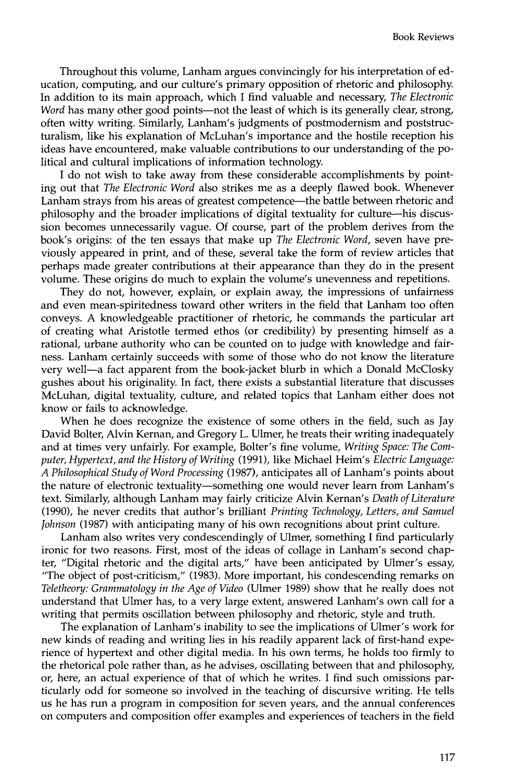Throughout this volume, Lanham argues convincingly for his interpretation of education, computing, and our culture's primary opposition of rhetoric and philosophy. In addition to its main approach, which I find valuable and necessary, *The Electronic Word* has many other good points—not the least of which is its generally clear, strong, often witty writing. Similarly, Lanham's judgments of postmodernism and poststructuralism, like his explanation of McLuhan's importance and the hostile reception his ideas have encountered, make valuable contributions to our understanding of the political and cultural implications of information technology.

I do not wish to take away from these considerable accomplishments by pointing out that *The Electronic Word* also strikes me as a deeply flawed book. Whenever Lanham strays from his areas of greatest competence—the battle between rhetoric and philosophy and the broader implications of digital textuality for culture his discussion becomes unnecessarily vague. Of course, part of the problem derives from the book's origins: of the ten essays that make up *The Electronic Word,* seven have previously appeared in print, and of these, several take the form of review articles that perhaps made greater contributions at their appearance than they do in the present volume. These origins do much to explain the volume's unevenness and repetitions.

They do not, however, explain, or explain away, the impressions of unfairness and even mean-spiritedness toward other writers in the field that Lanham too often conveys. A knowledgeable practitioner of rhetoric, he commands the particular art of creating what Aristotle termed ethos (or credibility) by presenting himself as a rational, urbane authority who can be counted on to judge with knowledge and fairness. Lanham certainly succeeds with some of those who do not know the literature very well--a fact apparent from the book-jacket blurb in which a Donald McClosky gushes about his originality. In fact, there exists a substantial literature that discusses McLuhan, digital textuality, culture, and related topics that Lanham either does not know or fails to acknowledge.

When he does recognize the existence of some others in the field, such as Jay David Bolter, Alvin Kernan, and Gregory L. Ulmer, he treats their writing inadequately and at times very unfairly. For example, Bolter's fine volume, *Writing Space: The Computer, Hypertext, and the History of Writing* (1991), like Michael Heim's *Electric Language: A Philosophical Study of Word Processing* (1987), anticipates all of Lanham's points about the nature of electronic textuality--something one would never learn from Lanham's text. Similarly, although Lanham may fairly criticize Alvin Kernan's *Death of Literature*  (1990), he never credits that author's brilliant *Printing Technology, Letters, and Samuel Johnson* (1987) with anticipating many of his own recognitions about print culture.

Lanham also writes very condescendingly of Ulmer, something I find particularly ironic for two reasons. First, most of the ideas of collage in Lanham's second chapter, "Digital rhetoric and the digital arts," have been anticipated by Ulmer's essay, "The object of post-criticism," (1983). More important, his condescending remarks on *Teletheory: Grammatology in the Age of Video* (Ulmer 1989) show that he really does not understand that Ulmer has, to a very large extent, answered Lanham's own call for a writing that permits oscillation between philosophy and rhetoric, style and truth.

The explanation of Lanham's inability to see the implications of Ulmer's work for new kinds of reading and writing lies in his readily apparent lack of first-hand experience of hypertext and other digital media. In his own terms, he holds too firmly to the rhetorical pole rather than, as he advises, oscillating between that and philosophy, or, here, an actual experience of that of which he writes. I find such omissions particularly odd for someone so involved in the teaching of discursive writing. He tells us he has run a program in composition for seven years, and the annual conferences on computers and composition offer examples and experiences of teachers in the field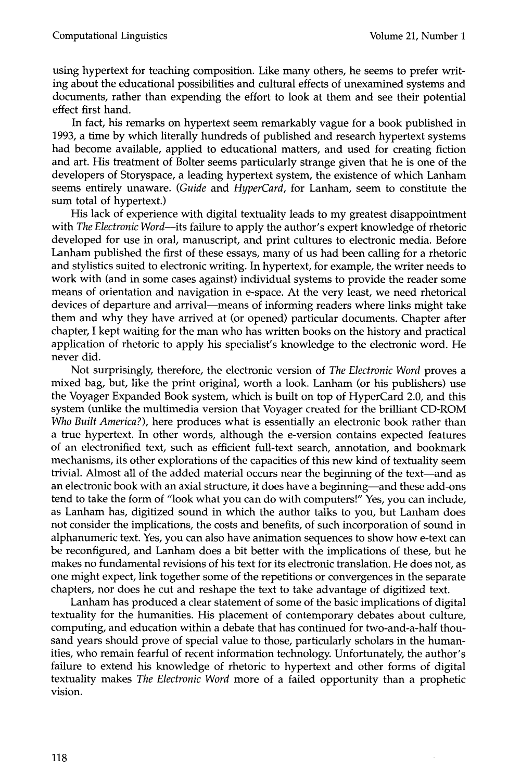using hypertext for teaching composition. Like many others, he seems to prefer writing about the educational possibilities and cultural effects of unexamined systems and documents, rather than expending the effort to look at them and see their potential effect first hand.

In fact, his remarks on hypertext seem remarkably vague for a book published in 1993, a time by which literally hundreds of published and research hypertext systems had become available, applied to educational matters, and used for creating fiction and art. His treatment of Bolter seems particularly strange given that he is one of the developers of Storyspace, a leading hypertext system, the existence of which Lanham seems entirely unaware. *(Guide* and *HyperCard,* for Lanham, seem to constitute the sum total of hypertext.)

His lack of experience with digital textuality leads to my greatest disappointment with *The Electronic Word--its* failure to apply the author's expert knowledge of rhetoric developed for use in oral, manuscript, and print cultures to electronic media. Before Lanham published the first of these essays, many of us had been calling for a rhetoric and stylistics suited to electronic writing. In hypertext, for example, the writer needs to work with (and in some cases against) individual systems to provide the reader some means of orientation and navigation in e-space. At the very least, we need rhetorical devices of departure and arrival—means of informing readers where links might take them and why they have arrived at (or opened) particular documents. Chapter after chapter, I kept waiting for the man who has written books on the history and practical application of rhetoric to apply his specialist's knowledge to the electronic word. He never did.

Not surprisingly, therefore, the electronic version of *The Electronic Word* proves a mixed bag, but, like the print original, worth a look. Lanham (or his publishers) use the Voyager Expanded Book system, which is built on top of HyperCard 2.0, and this system (unlike the multimedia version that Voyager created for the brilliant CD-ROM *Who Built America?),* here produces what is essentially an electronic book rather than a true hypertext. In other words, although the e-version contains expected features of an electronified text, such as efficient full-text search, annotation, and bookmark mechanisms, its other explorations of the capacities of this new kind of textuality seem trivial. Almost all of the added material occurs near the beginning of the text--and as an electronic book with an axial structure, it does have a beginning—and these add-ons tend to take the form of "look what you can do with computers!" Yes, you can include, as Lanham has, digitized sound in which the author talks to you, but Lanham does not consider the implications, the costs and benefits, of such incorporation of sound in alphanumeric text. Yes, you can also have animation sequences to show how e-text can be reconfigured, and Lanham does a bit better with the implications of these, but he makes no fundamental revisions of his text for its electronic translation. He does not, as one might expect, link together some of the repetitions or convergences in the separate chapters, nor does he cut and reshape the text to take advantage of digitized text.

Lanham has produced a clear statement of some of the basic implications of digital textuality for the humanities. His placement of contemporary debates about culture, computing, and education within a debate that has continued for two-and-a-half thousand years should prove of special value to those, particularly scholars in the humanities, who remain fearful of recent information technology. Unfortunately, the author's failure to extend his knowledge of rhetoric to hypertext and other forms of digital textuality makes *The Electronic Word* more of a failed opportunity than a prophetic vision.